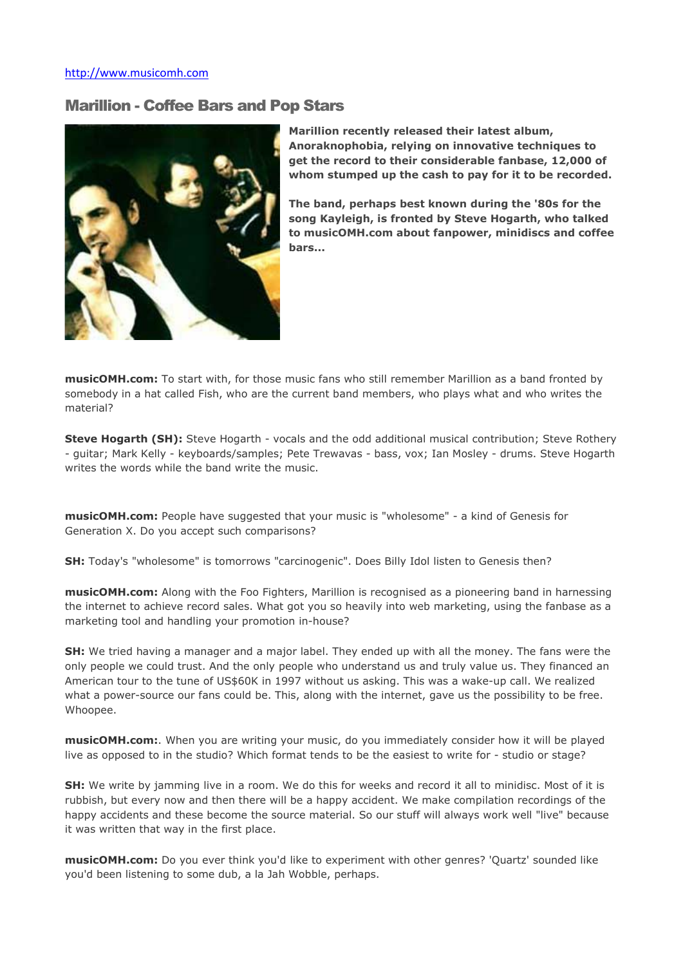## Marillion - Coffee Bars and Pop Stars



Marillion recently released their latest album, Anoraknophobia, relying on innovative techniques to get the record to their considerable fanbase, 12,000 of whom stumped up the cash to pay for it to be recorded.

The band, perhaps best known during the '80s for the song Kayleigh, is fronted by Steve Hogarth, who talked to musicOMH.com about fanpower, minidiscs and coffee bars...

musicOMH.com: To start with, for those music fans who still remember Marillion as a band fronted by somebody in a hat called Fish, who are the current band members, who plays what and who writes the material?

Steve Hogarth (SH): Steve Hogarth - vocals and the odd additional musical contribution; Steve Rothery - guitar; Mark Kelly - keyboards/samples; Pete Trewavas - bass, vox; Ian Mosley - drums. Steve Hogarth writes the words while the band write the music.

musicOMH.com: People have suggested that your music is "wholesome" - a kind of Genesis for Generation X. Do you accept such comparisons?

SH: Today's "wholesome" is tomorrows "carcinogenic". Does Billy Idol listen to Genesis then?

musicOMH.com: Along with the Foo Fighters, Marillion is recognised as a pioneering band in harnessing the internet to achieve record sales. What got you so heavily into web marketing, using the fanbase as a marketing tool and handling your promotion in-house?

**SH:** We tried having a manager and a major label. They ended up with all the money. The fans were the only people we could trust. And the only people who understand us and truly value us. They financed an American tour to the tune of US\$60K in 1997 without us asking. This was a wake-up call. We realized what a power-source our fans could be. This, along with the internet, gave us the possibility to be free. Whoopee.

musicOMH.com:. When you are writing your music, do you immediately consider how it will be played live as opposed to in the studio? Which format tends to be the easiest to write for - studio or stage?

SH: We write by jamming live in a room. We do this for weeks and record it all to minidisc. Most of it is rubbish, but every now and then there will be a happy accident. We make compilation recordings of the happy accidents and these become the source material. So our stuff will always work well "live" because it was written that way in the first place.

musicOMH.com: Do you ever think you'd like to experiment with other genres? 'Quartz' sounded like you'd been listening to some dub, a la Jah Wobble, perhaps.